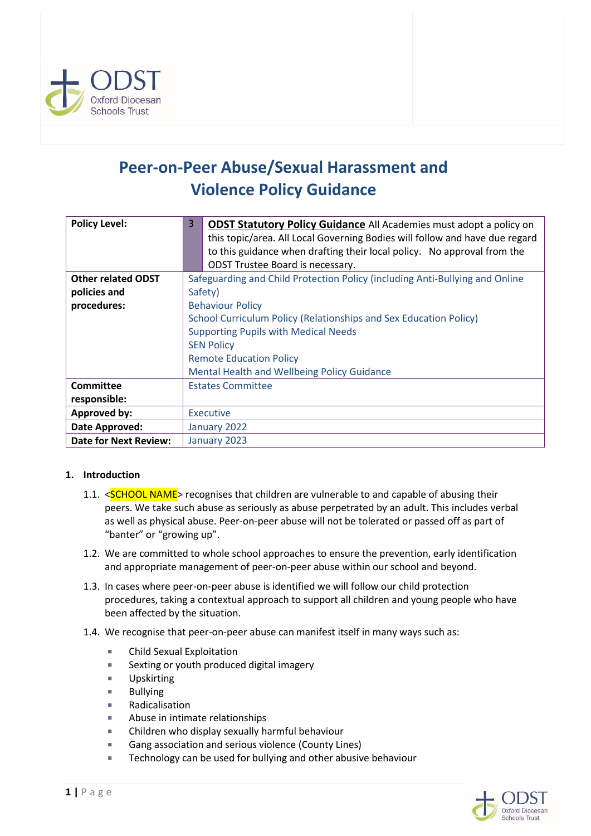

# **Peer-on-Peer Abuse/Sexual Harassment and Violence Policy Guidance**

| <b>Policy Level:</b>         | <b>ODST Statutory Policy Guidance</b> All Academies must adopt a policy on   |  |  |  |
|------------------------------|------------------------------------------------------------------------------|--|--|--|
|                              | this topic/area. All Local Governing Bodies will follow and have due regard  |  |  |  |
|                              | to this guidance when drafting their local policy. No approval from the      |  |  |  |
|                              | ODST Trustee Board is necessary.                                             |  |  |  |
| <b>Other related ODST</b>    | Safeguarding and Child Protection Policy (including Anti-Bullying and Online |  |  |  |
| policies and                 | Safety)                                                                      |  |  |  |
| procedures:                  | <b>Behaviour Policy</b>                                                      |  |  |  |
|                              | School Curriculum Policy (Relationships and Sex Education Policy)            |  |  |  |
|                              | <b>Supporting Pupils with Medical Needs</b>                                  |  |  |  |
|                              | <b>SEN Policy</b>                                                            |  |  |  |
|                              | <b>Remote Education Policy</b>                                               |  |  |  |
|                              | Mental Health and Wellbeing Policy Guidance                                  |  |  |  |
| Committee                    | <b>Estates Committee</b>                                                     |  |  |  |
| responsible:                 |                                                                              |  |  |  |
| <b>Approved by:</b>          | <b>Executive</b>                                                             |  |  |  |
| Date Approved:               | January 2022                                                                 |  |  |  |
| <b>Date for Next Review:</b> | January 2023                                                                 |  |  |  |

## **1. Introduction**

- 1.1. <**SCHOOL NAME**> recognises that children are vulnerable to and capable of abusing their peers. We take such abuse as seriously as abuse perpetrated by an adult. This includes verbal as well as physical abuse. Peer-on-peer abuse will not be tolerated or passed off as part of "banter" or "growing up".
- 1.2. We are committed to whole school approaches to ensure the prevention, early identification and appropriate management of peer-on-peer abuse within our school and beyond.
- 1.3. In cases where peer-on-peer abuse is identified we will follow our child protection procedures, taking a contextual approach to support all children and young people who have been affected by the situation.
- 1.4. We recognise that peer-on-peer abuse can manifest itself in many ways such as:
	- **EXECUTE:** Child Sexual Exploitation
	- Sexting or youth produced digital imagery
	- **Upskirting**
	- **Bullying**
	- **Radicalisation**
	- **Abuse in intimate relationships**
	- Children who display sexually harmful behaviour
	- Gang association and serious violence (County Lines)
	- Technology can be used for bullying and other abusive behaviour

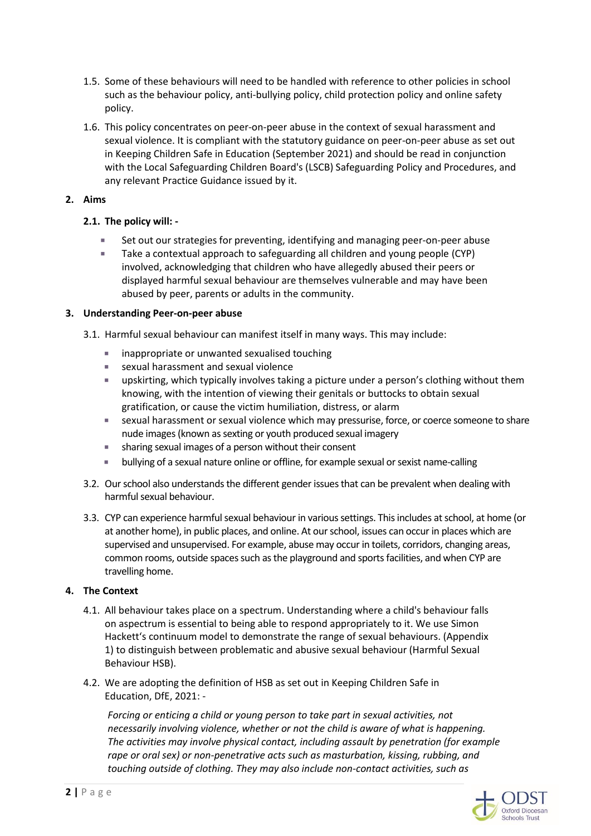- 1.5. Some of these behaviours will need to be handled with reference to other policies in school such as the behaviour policy, anti-bullying policy, child protection policy and online safety policy.
- 1.6. This policy concentrates on peer-on-peer abuse in the context of sexual harassment and sexual violence. It is compliant with the statutory guidance on peer-on-peer abuse as set out in Keeping Children Safe in Education (September 2021) and should be read in conjunction with the Local Safeguarding Children Board's (LSCB) Safeguarding Policy and Procedures, and any relevant Practice Guidance issued by it.

## **2. Aims**

## **2.1. The policy will: -**

- Set out our strategies for preventing, identifying and managing peer-on-peer abuse
- Take a contextual approach to safeguarding all children and young people (CYP) involved, acknowledging that children who have allegedly abused their peers or displayed harmful sexual behaviour are themselves vulnerable and may have been abused by peer, parents or adults in the community.

## **3. Understanding Peer-on-peer abuse**

- 3.1. Harmful sexual behaviour can manifest itself in many ways. This may include:
	- **EXECUTE:** inappropriate or unwanted sexualised touching
	- sexual harassment and sexual violence
	- upskirting, which typically involves taking a picture under a person's clothing without them knowing, with the intention of viewing their genitals or buttocks to obtain sexual gratification, or cause the victim humiliation, distress, or alarm
	- sexual harassment or sexual violence which may pressurise, force, or coerce someone to share nude images (known as sexting or youth produced sexual imagery
	- sharing sexual images of a person without their consent
	- bullying of a sexual nature online or offline, for example sexual or sexist name-calling
- 3.2. Our school also understands the different gender issues that can be prevalent when dealing with harmful sexual behaviour.
- 3.3. CYP can experience harmful sexual behaviour in various settings. This includes at school, at home (or at another home), in public places, and online. At our school, issues can occur in places which are supervised and unsupervised. For example, abuse may occur in toilets, corridors, changing areas, common rooms, outside spaces such as the playground and sports facilities, and when CYP are travelling home.

## **4. The Context**

- 4.1. All behaviour takes place on a spectrum. Understanding where a child's behaviour falls on aspectrum is essential to being able to respond appropriately to it. We use Simon Hackett's continuum model to demonstrate the range of sexual behaviours. (Appendix 1) to distinguish between problematic and abusive sexual behaviour (Harmful Sexual Behaviour HSB).
- 4.2. We are adopting the definition of HSB as set out in Keeping Children Safe in Education, DfE, 2021: -

*Forcing or enticing a child or young person to take part in sexual activities, not necessarily involving violence, whether or not the child is aware of what is happening. The activities may involve physical contact, including assault by penetration (for example rape or oral sex) or non-penetrative acts such as masturbation, kissing, rubbing, and touching outside of clothing. They may also include non-contact activities, such as* 

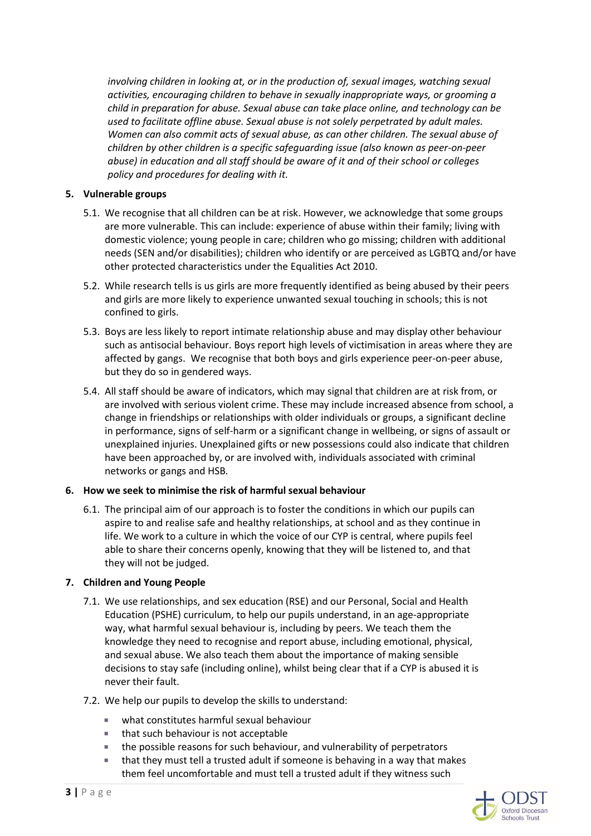*involving children in looking at, or in the production of, sexual images, watching sexual activities, encouraging children to behave in sexually inappropriate ways, or grooming a child in preparation for abuse. Sexual abuse can take place online, and technology can be used to facilitate offline abuse. Sexual abuse is not solely perpetrated by adult males. Women can also commit acts of sexual abuse, as can other children. The sexual abuse of children by other children is a specific safeguarding issue (also known as peer-on-peer abuse) in education and all staff should be aware of it and of their school or colleges policy and procedures for dealing with it.*

## **5. Vulnerable groups**

- 5.1. We recognise that all children can be at risk. However, we acknowledge that some groups are more vulnerable. This can include: experience of abuse within their family; living with domestic violence; young people in care; children who go missing; children with additional needs (SEN and/or disabilities); children who identify or are perceived as LGBTQ and/or have other protected characteristics under the Equalities Act 2010.
- 5.2. While research tells is us girls are more frequently identified as being abused by their peers and girls are more likely to experience unwanted sexual touching in schools; this is not confined to girls.
- 5.3. Boys are less likely to report intimate relationship abuse and may display other behaviour such as antisocial behaviour. Boys report high levels of victimisation in areas where they are affected by gangs. We recognise that both boys and girls experience peer-on-peer abuse, but they do so in gendered ways.
- 5.4. All staff should be aware of indicators, which may signal that children are at risk from, or are involved with serious violent crime. These may include increased absence from school, a change in friendships or relationships with older individuals or groups, a significant decline in performance, signs of self-harm or a significant change in wellbeing, or signs of assault or unexplained injuries. Unexplained gifts or new possessions could also indicate that children have been approached by, or are involved with, individuals associated with criminal networks or gangs and HSB.

## **6. How we seek to minimise the risk of harmful sexual behaviour**

6.1. The principal aim of our approach is to foster the conditions in which our pupils can aspire to and realise safe and healthy relationships, at school and as they continue in life. We work to a culture in which the voice of our CYP is central, where pupils feel able to share their concerns openly, knowing that they will be listened to, and that they will not be judged.

## **7. Children and Young People**

- 7.1. We use relationships, and sex education (RSE) and our Personal, Social and Health Education (PSHE) curriculum, to help our pupils understand, in an age-appropriate way, what harmful sexual behaviour is, including by peers. We teach them the knowledge they need to recognise and report abuse, including emotional, physical, and sexual abuse. We also teach them about the importance of making sensible decisions to stay safe (including online), whilst being clear that if a CYP is abused it is never their fault.
- 7.2. We help our pupils to develop the skills to understand:
	- what constitutes harmful sexual behaviour
	- that such behaviour is not acceptable
	- **the possible reasons for such behaviour, and vulnerability of perpetrators**
	- that they must tell a trusted adult if someone is behaving in a way that makes them feel uncomfortable and must tell a trusted adult if they witness such

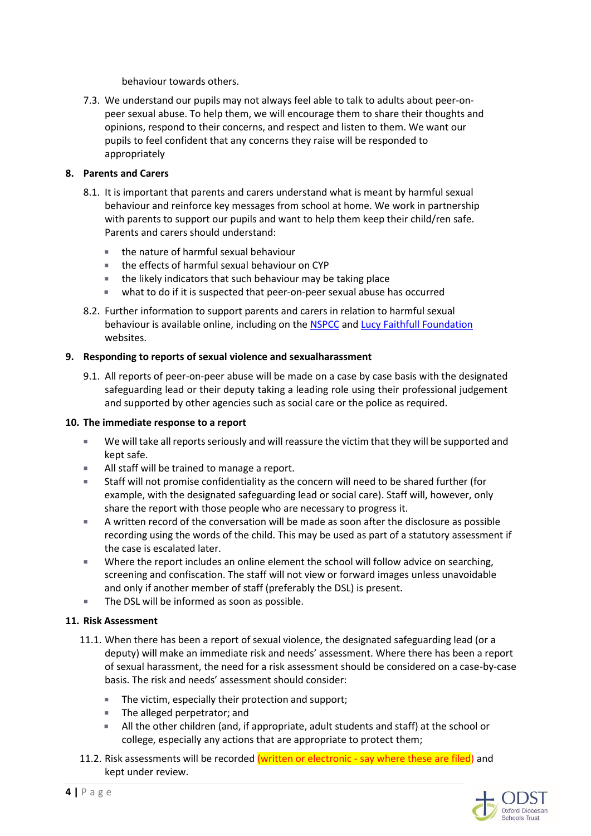behaviour towards others.

7.3. We understand our pupils may not always feel able to talk to adults about peer-onpeer sexual abuse. To help them, we will encourage them to share their thoughts and opinions, respond to their concerns, and respect and listen to them. We want our pupils to feel confident that any concerns they raise will be responded to appropriately

## **8. Parents and Carers**

- 8.1. It is important that parents and carers understand what is meant by harmful sexual behaviour and reinforce key messages from school at home. We work in partnership with parents to support our pupils and want to help them keep their child/ren safe. Parents and carers should understand:
	- the nature of harmful sexual behaviour
	- the effects of harmful sexual behaviour on CYP
	- **the likely indicators that such behaviour may be taking place**
	- what to do if it is suspected that peer-on-peer sexual abuse has occurred
- 8.2. Further information to support parents and carers in relation to harmful sexual behaviour is available online, including on the [NSPCC](https://www.nspcc.org.uk/what-is-child-abuse/types-of-abuse/child-sexual-abuse/#support) an[d Lucy Faithfull Foundation](https://www.stopitnow.org.uk/concerned-about-a-child-or-young-persons-sexual-behaviour/preventing-harmful-sexual-behaviour/?utm_campaign=1540968_HSB%20Toolkit%20email_SOCIAL%20MEDIA&utm_medium=email&utm_source=Lucy%20Faithfull%20Foundation&dm_i=48W7,X10O,38NO7C,43A9L,1) websites.

## **9. Responding to reports of sexual violence and sexualharassment**

9.1. All reports of peer-on-peer abuse will be made on a case by case basis with the designated safeguarding lead or their deputy taking a leading role using their professional judgement and supported by other agencies such as social care or the police as required.

## **10. The immediate response to a report**

- We will take all reports seriously and will reassure the victim that they will be supported and kept safe.
- All staff will be trained to manage a report.
- Staff will not promise confidentiality as the concern will need to be shared further (for example, with the designated safeguarding lead or social care). Staff will, however, only share the report with those people who are necessary to progress it.
- A written record of the conversation will be made as soon after the disclosure as possible recording using the words of the child. This may be used as part of a statutory assessment if the case is escalated later.
- Where the report includes an online element the school will follow advice on searching, screening and confiscation. The staff will not view or forward images unless unavoidable and only if another member of staff (preferably the DSL) is present.
- The DSL will be informed as soon as possible.

## **11. Risk Assessment**

- 11.1. When there has been a report of sexual violence, the designated safeguarding lead (or a deputy) will make an immediate risk and needs' assessment. Where there has been a report of sexual harassment, the need for a risk assessment should be considered on a case-by-case basis. The risk and needs' assessment should consider:
	- The victim, especially their protection and support;
	- **The alleged perpetrator; and**
	- All the other children (and, if appropriate, adult students and staff) at the school or college, especially any actions that are appropriate to protect them;
- 11.2. Risk assessments will be recorded (written or electronic say where these are filed) and kept under review.

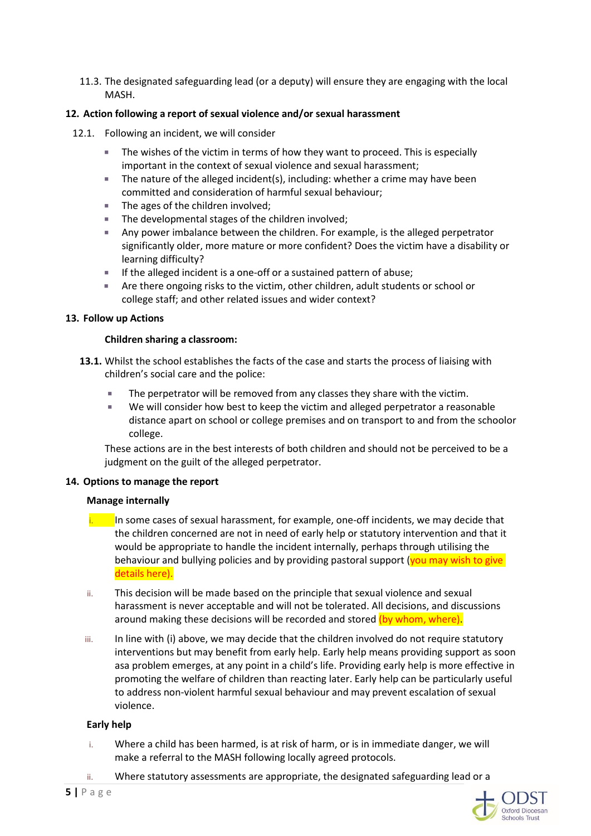11.3. The designated safeguarding lead (or a deputy) will ensure they are engaging with the local MASH.

## **12. Action following a report of sexual violence and/or sexual harassment**

- 12.1. Following an incident, we will consider
	- The wishes of the victim in terms of how they want to proceed. This is especially important in the context of sexual violence and sexual harassment;
	- The nature of the alleged incident(s), including: whether a crime may have been committed and consideration of harmful sexual behaviour;
	- The ages of the children involved;
	- The developmental stages of the children involved;
	- Any power imbalance between the children. For example, is the alleged perpetrator significantly older, more mature or more confident? Does the victim have a disability or learning difficulty?
	- $\blacksquare$  If the alleged incident is a one-off or a sustained pattern of abuse;
	- Are there ongoing risks to the victim, other children, adult students or school or college staff; and other related issues and wider context?

#### **13. Follow up Actions**

#### **Children sharing a classroom:**

- **13.1.** Whilst the school establishes the facts of the case and starts the process of liaising with children's social care and the police:
	- The perpetrator will be removed from any classes they share with the victim.
	- We will consider how best to keep the victim and alleged perpetrator a reasonable distance apart on school or college premises and on transport to and from the schoolor college.

These actions are in the best interests of both children and should not be perceived to be a judgment on the guilt of the alleged perpetrator.

#### **14. Options to manage the report**

#### **Manage internally**

- In some cases of sexual harassment, for example, one-off incidents, we may decide that the children concerned are not in need of early help or statutory intervention and that it would be appropriate to handle the incident internally, perhaps through utilising the behaviour and bullying policies and by providing pastoral support ( $\gamma$ ou may wish to give details here).
- ii. This decision will be made based on the principle that sexual violence and sexual harassment is never acceptable and will not be tolerated. All decisions, and discussions around making these decisions will be recorded and stored (by whom, where).
- iii. In line with (i) above, we may decide that the children involved do not require statutory interventions but may benefit from early help. Early help means providing support as soon asa problem emerges, at any point in a child's life. Providing early help is more effective in promoting the welfare of children than reacting later. Early help can be particularly useful to address non-violent harmful sexual behaviour and may prevent escalation of sexual violence.

#### **Early help**

- i. Where a child has been harmed, is at risk of harm, or is in immediate danger, we will make a referral to the MASH following locally agreed protocols.
- ii. Where statutory assessments are appropriate, the designated safeguarding lead or a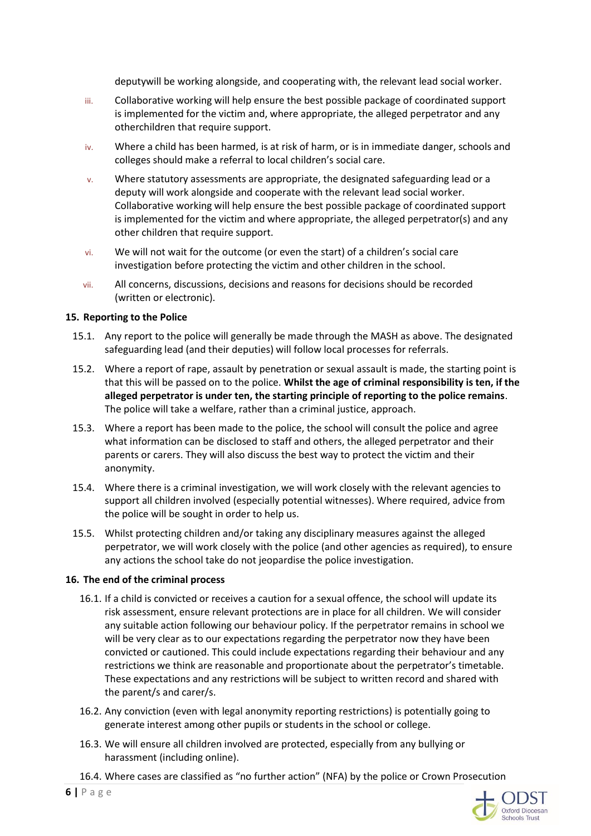deputywill be working alongside, and cooperating with, the relevant lead social worker.

- iii. Collaborative working will help ensure the best possible package of coordinated support is implemented for the victim and, where appropriate, the alleged perpetrator and any otherchildren that require support.
- iv. Where a child has been harmed, is at risk of harm, or is in immediate danger, schools and colleges should make a referral to local children's social care.
- v. Where statutory assessments are appropriate, the designated safeguarding lead or a deputy will work alongside and cooperate with the relevant lead social worker. Collaborative working will help ensure the best possible package of coordinated support is implemented for the victim and where appropriate, the alleged perpetrator(s) and any other children that require support.
- vi. We will not wait for the outcome (or even the start) of a children's social care investigation before protecting the victim and other children in the school.
- vii. All concerns, discussions, decisions and reasons for decisions should be recorded (written or electronic).

## **15. Reporting to the Police**

- 15.1. Any report to the police will generally be made through the MASH as above. The designated safeguarding lead (and their deputies) will follow local processes for referrals.
- 15.2. Where a report of rape, assault by penetration or sexual assault is made, the starting point is that this will be passed on to the police. **Whilst the age of criminal responsibility is ten, if the alleged perpetrator is under ten, the starting principle of reporting to the police remains**. The police will take a welfare, rather than a criminal justice, approach.
- 15.3. Where a report has been made to the police, the school will consult the police and agree what information can be disclosed to staff and others, the alleged perpetrator and their parents or carers. They will also discuss the best way to protect the victim and their anonymity.
- 15.4. Where there is a criminal investigation, we will work closely with the relevant agencies to support all children involved (especially potential witnesses). Where required, advice from the police will be sought in order to help us.
- 15.5. Whilst protecting children and/or taking any disciplinary measures against the alleged perpetrator, we will work closely with the police (and other agencies as required), to ensure any actions the school take do not jeopardise the police investigation.

#### **16. The end of the criminal process**

- 16.1. If a child is convicted or receives a caution for a sexual offence, the school will update its risk assessment, ensure relevant protections are in place for all children. We will consider any suitable action following our behaviour policy. If the perpetrator remains in school we will be very clear as to our expectations regarding the perpetrator now they have been convicted or cautioned. This could include expectations regarding their behaviour and any restrictions we think are reasonable and proportionate about the perpetrator's timetable. These expectations and any restrictions will be subject to written record and shared with the parent/s and carer/s.
- 16.2. Any conviction (even with legal anonymity reporting restrictions) is potentially going to generate interest among other pupils or students in the school or college.
- 16.3. We will ensure all children involved are protected, especially from any bullying or harassment (including online).

16.4. Where cases are classified as "no further action" (NFA) by the police or Crown Prosecution

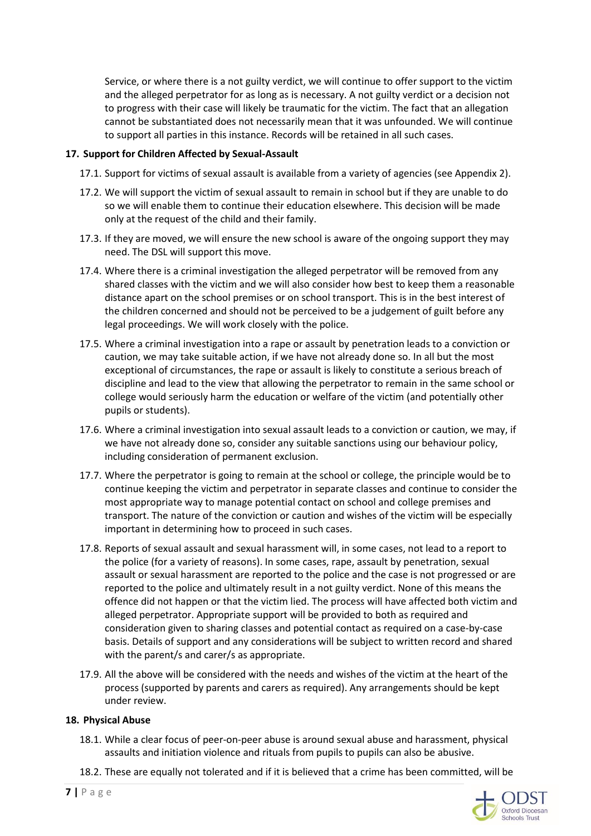Service, or where there is a not guilty verdict, we will continue to offer support to the victim and the alleged perpetrator for as long as is necessary. A not guilty verdict or a decision not to progress with their case will likely be traumatic for the victim. The fact that an allegation cannot be substantiated does not necessarily mean that it was unfounded. We will continue to support all parties in this instance. Records will be retained in all such cases.

## **17. Support for Children Affected by Sexual-Assault**

- 17.1. Support for victims of sexual assault is available from a variety of agencies (see Appendix 2).
- 17.2. We will support the victim of sexual assault to remain in school but if they are unable to do so we will enable them to continue their education elsewhere. This decision will be made only at the request of the child and their family.
- 17.3. If they are moved, we will ensure the new school is aware of the ongoing support they may need. The DSL will support this move.
- 17.4. Where there is a criminal investigation the alleged perpetrator will be removed from any shared classes with the victim and we will also consider how best to keep them a reasonable distance apart on the school premises or on school transport. This is in the best interest of the children concerned and should not be perceived to be a judgement of guilt before any legal proceedings. We will work closely with the police.
- 17.5. Where a criminal investigation into a rape or assault by penetration leads to a conviction or caution, we may take suitable action, if we have not already done so. In all but the most exceptional of circumstances, the rape or assault is likely to constitute a serious breach of discipline and lead to the view that allowing the perpetrator to remain in the same school or college would seriously harm the education or welfare of the victim (and potentially other pupils or students).
- 17.6. Where a criminal investigation into sexual assault leads to a conviction or caution, we may, if we have not already done so, consider any suitable sanctions using our behaviour policy, including consideration of permanent exclusion.
- 17.7. Where the perpetrator is going to remain at the school or college, the principle would be to continue keeping the victim and perpetrator in separate classes and continue to consider the most appropriate way to manage potential contact on school and college premises and transport. The nature of the conviction or caution and wishes of the victim will be especially important in determining how to proceed in such cases.
- 17.8. Reports of sexual assault and sexual harassment will, in some cases, not lead to a report to the police (for a variety of reasons). In some cases, rape, assault by penetration, sexual assault or sexual harassment are reported to the police and the case is not progressed or are reported to the police and ultimately result in a not guilty verdict. None of this means the offence did not happen or that the victim lied. The process will have affected both victim and alleged perpetrator. Appropriate support will be provided to both as required and consideration given to sharing classes and potential contact as required on a case-by-case basis. Details of support and any considerations will be subject to written record and shared with the parent/s and carer/s as appropriate.
- 17.9. All the above will be considered with the needs and wishes of the victim at the heart of the process (supported by parents and carers as required). Any arrangements should be kept under review.

#### **18. Physical Abuse**

- 18.1. While a clear focus of peer-on-peer abuse is around sexual abuse and harassment, physical assaults and initiation violence and rituals from pupils to pupils can also be abusive.
- 18.2. These are equally not tolerated and if it is believed that a crime has been committed, will be

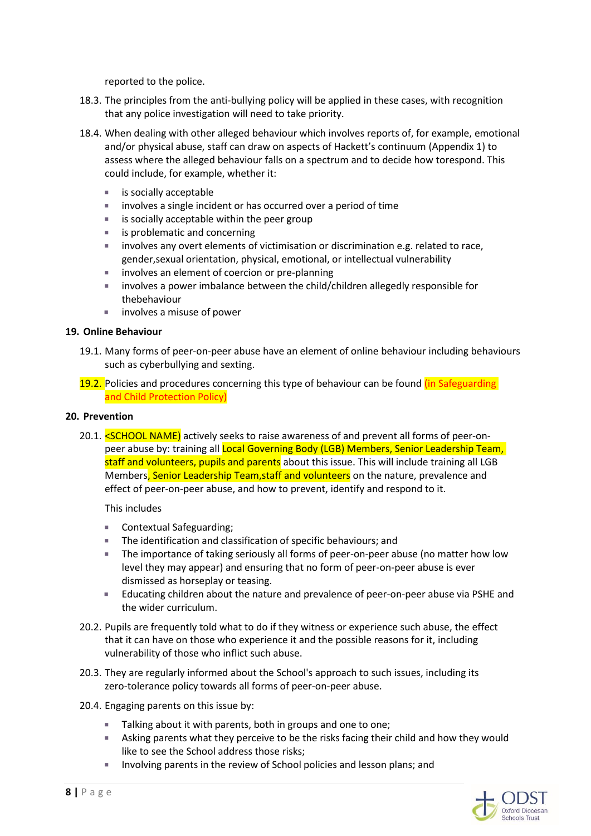reported to the police.

- 18.3. The principles from the anti-bullying policy will be applied in these cases, with recognition that any police investigation will need to take priority.
- 18.4. When dealing with other alleged behaviour which involves reports of, for example, emotional and/or physical abuse, staff can draw on aspects of Hackett's continuum (Appendix 1) to assess where the alleged behaviour falls on a spectrum and to decide how torespond. This could include, for example, whether it:
	- **is socially acceptable**
	- **involves a single incident or has occurred over a period of time**
	- $\blacksquare$  is socially acceptable within the peer group
	- **is problematic and concerning**
	- involves any overt elements of victimisation or discrimination e.g. related to race, gender,sexual orientation, physical, emotional, or intellectual vulnerability
	- **involves an element of coercion or pre-planning**
	- involves a power imbalance between the child/children allegedly responsible for thebehaviour
	- involves a misuse of power

#### **19. Online Behaviour**

- 19.1. Many forms of peer-on-peer abuse have an element of online behaviour including behaviours such as cyberbullying and sexting.
- 19.2. Policies and procedures concerning this type of behaviour can be found (in Safeguarding and Child Protection Policy)

### **20. Prevention**

20.1. <SCHOOL NAME) actively seeks to raise awareness of and prevent all forms of peer-onpeer abuse by: training all Local Governing Body (LGB) Members, Senior Leadership Team, staff and volunteers, pupils and parents about this issue. This will include training all LGB Members, Senior Leadership Team, staff and volunteers on the nature, prevalence and effect of peer-on-peer abuse, and how to prevent, identify and respond to it.

This includes

- Contextual Safeguarding;
- **The identification and classification of specific behaviours; and**
- The importance of taking seriously all forms of peer-on-peer abuse (no matter how low level they may appear) and ensuring that no form of peer-on-peer abuse is ever dismissed as horseplay or teasing.
- **Educating children about the nature and prevalence of peer-on-peer abuse via PSHE and** the wider curriculum.
- 20.2. Pupils are frequently told what to do if they witness or experience such abuse, the effect that it can have on those who experience it and the possible reasons for it, including vulnerability of those who inflict such abuse.
- 20.3. They are regularly informed about the School's approach to such issues, including its zero-tolerance policy towards all forms of peer-on-peer abuse.
- 20.4. Engaging parents on this issue by:
	- Talking about it with parents, both in groups and one to one;
	- Asking parents what they perceive to be the risks facing their child and how they would like to see the School address those risks;
	- **Involving parents in the review of School policies and lesson plans; and**

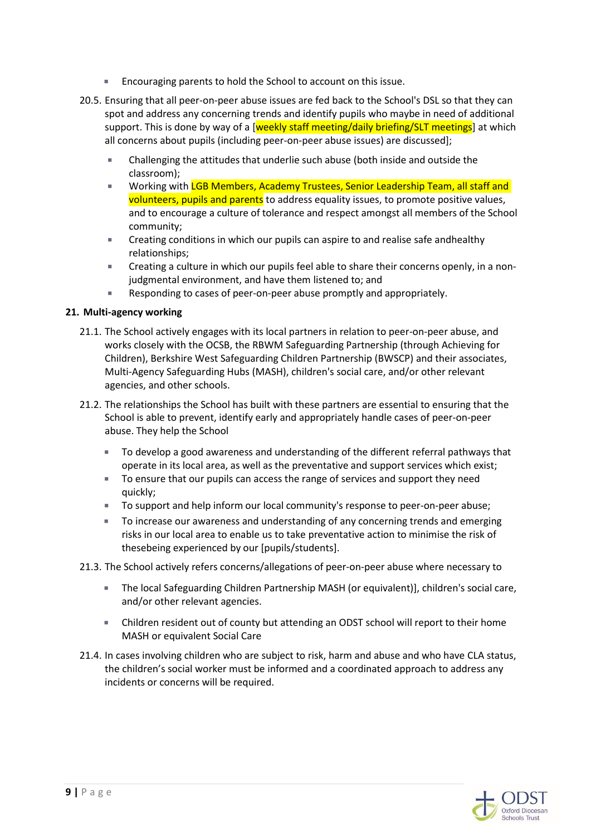- **Encouraging parents to hold the School to account on this issue.**
- 20.5. Ensuring that all peer-on-peer abuse issues are fed back to the School's DSL so that they can spot and address any concerning trends and identify pupils who maybe in need of additional support. This is done by way of a [weekly staff meeting/daily briefing/SLT meetings] at which all concerns about pupils (including peer-on-peer abuse issues) are discussed];
	- Challenging the attitudes that underlie such abuse (both inside and outside the classroom);
	- Working with LGB Members, Academy Trustees, Senior Leadership Team, all staff and volunteers, pupils and parents to address equality issues, to promote positive values, and to encourage a culture of tolerance and respect amongst all members of the School community;
	- Creating conditions in which our pupils can aspire to and realise safe andhealthy relationships;
	- Creating a culture in which our pupils feel able to share their concerns openly, in a nonjudgmental environment, and have them listened to; and
	- Responding to cases of peer-on-peer abuse promptly and appropriately.

## **21. Multi-agency working**

- 21.1. The School actively engages with its local partners in relation to peer-on-peer abuse, and works closely with the OCSB, the RBWM Safeguarding Partnership (through Achieving for Children), Berkshire West Safeguarding Children Partnership (BWSCP) and their associates, Multi-Agency Safeguarding Hubs (MASH), children's social care, and/or other relevant agencies, and other schools.
- 21.2. The relationships the School has built with these partners are essential to ensuring that the School is able to prevent, identify early and appropriately handle cases of peer-on-peer abuse. They help the School
	- To develop a good awareness and understanding of the different referral pathways that operate in its local area, as well as the preventative and support services which exist;
	- To ensure that our pupils can access the range of services and support they need quickly;
	- To support and help inform our local community's response to peer-on-peer abuse;
	- To increase our awareness and understanding of any concerning trends and emerging risks in our local area to enable us to take preventative action to minimise the risk of thesebeing experienced by our [pupils/students].
- 21.3. The School actively refers concerns/allegations of peer-on-peer abuse where necessary to
	- The local Safeguarding Children Partnership MASH (or equivalent)], children's social care, and/or other relevant agencies.
	- Children resident out of county but attending an ODST school will report to their home MASH or equivalent Social Care
- 21.4. In cases involving children who are subject to risk, harm and abuse and who have CLA status, the children's social worker must be informed and a coordinated approach to address any incidents or concerns will be required.

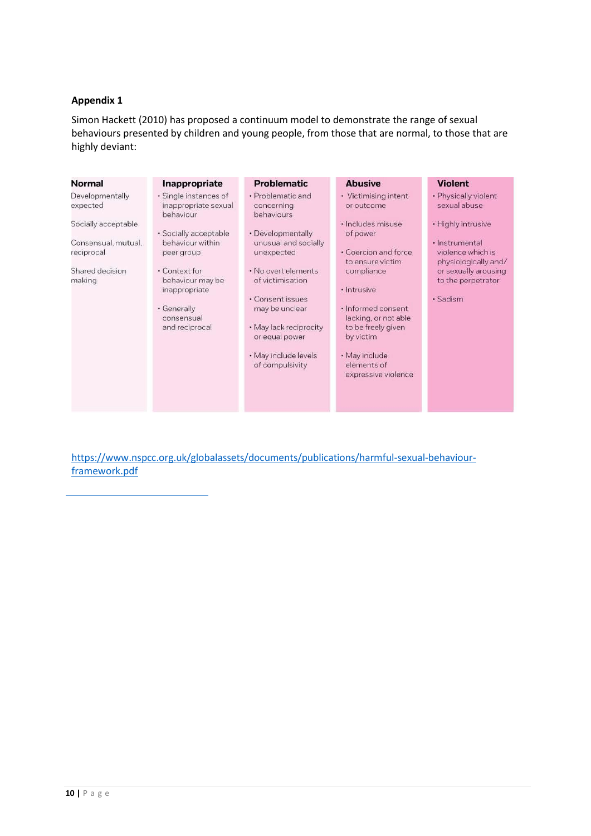### **Appendix 1**

Simon Hackett (2010) has proposed a continuum model to demonstrate the range of sexual behaviours presented by children and young people, from those that are normal, to those that are highly deviant:

| Normal                                               | Inappropriate                                              | <b>Problematic</b>                                         | <b>Abusive</b>                                                                | <b>Violent</b>                                                                      |
|------------------------------------------------------|------------------------------------------------------------|------------------------------------------------------------|-------------------------------------------------------------------------------|-------------------------------------------------------------------------------------|
| Developmentally<br>expected                          | · Single instances of<br>inappropriate sexual<br>behaviour | • Problematic and<br>concerning<br>behaviours              | • Victimising intent<br>or outcome                                            | • Physically violent<br>sexual abuse                                                |
| Socially acceptable                                  | · Socially acceptable                                      | • Developmentally                                          | · Includes misuse<br>of power                                                 | • Highly intrusive                                                                  |
| Consensual, mutual,<br>reciprocal<br>Shared decision | behaviour within<br>peer group<br>• Context for            | unusual and socially<br>unexpected<br>. No overt elements  | · Coercion and force<br>to ensure victim<br>compliance                        | · Instrumental<br>violence which is<br>physiologically and/<br>or sexually arousing |
| making                                               | behaviour may be<br>inappropriate                          | of victimisation<br>· Consent issues                       | · Intrusive                                                                   | to the perpetrator<br>· Sadism                                                      |
|                                                      | · Generally<br>consensual<br>and reciprocal                | may be unclear<br>• May lack reciprocity<br>or equal power | · Informed consent<br>lacking, or not able<br>to be freely given<br>by victim |                                                                                     |
|                                                      |                                                            | · May include levels<br>of compulsivity                    | · May include<br>elements of<br>expressive violence                           |                                                                                     |
|                                                      |                                                            |                                                            |                                                                               |                                                                                     |

[https://www.nspcc.org.uk/globalassets/documents/publications/harmful-sexual-behaviour](https://www.nspcc.org.uk/globalassets/documents/publications/harmful-sexual-behaviour-framework.pdf)[framework.pdf](https://www.nspcc.org.uk/globalassets/documents/publications/harmful-sexual-behaviour-framework.pdf)